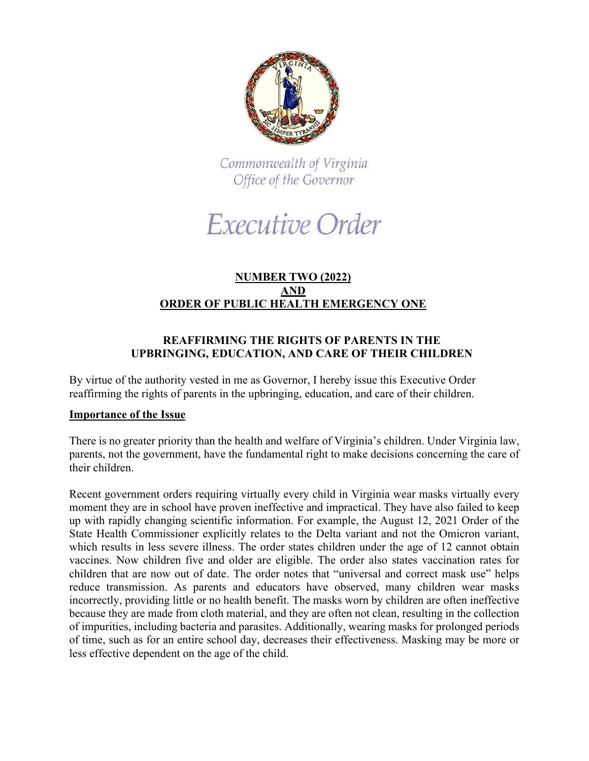

Commonwealth of Virginia Office of the Governor

Executive Order

## **NUMBER TWO (2022) AND ORDER OF PUBLIC HEALTH EMERGENCY ONE**

# **REAFFIRMING THE RIGHTS OF PARENTS IN THE UPBRINGING, EDUCATION, AND CARE OF THEIR CHILDREN**

By virtue of the authority vested in me as Governor, I hereby issue this Executive Order reaffirming the rights of parents in the upbringing, education, and care of their children.

# **Importance of the Issue**

There is no greater priority than the health and welfare of Virginia's children. Under Virginia law, parents, not the government, have the fundamental right to make decisions concerning the care of their children.

Recent government orders requiring virtually every child in Virginia wear masks virtually every moment they are in school have proven ineffective and impractical. They have also failed to keep up with rapidly changing scientific information. For example, the August 12, 2021 Order of the State Health Commissioner explicitly relates to the Delta variant and not the Omicron variant, which results in less severe illness. The order states children under the age of 12 cannot obtain vaccines. Now children five and older are eligible. The order also states vaccination rates for children that are now out of date. The order notes that "universal and correct mask use" helps reduce transmission. As parents and educators have observed, many children wear masks incorrectly, providing little or no health benefit. The masks worn by children are often ineffective because they are made from cloth material, and they are often not clean, resulting in the collection of impurities, including bacteria and parasites. Additionally, wearing masks for prolonged periods of time, such as for an entire school day, decreases their effectiveness. Masking may be more or less effective dependent on the age of the child.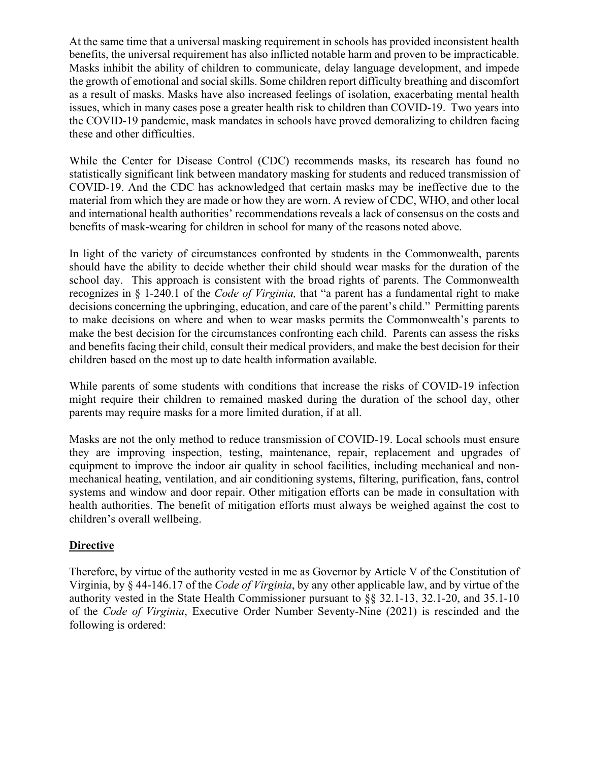At the same time that a universal masking requirement in schools has provided inconsistent health benefits, the universal requirement has also inflicted notable harm and proven to be impracticable. Masks inhibit the ability of children to communicate, delay language development, and impede the growth of emotional and social skills. Some children report difficulty breathing and discomfort as a result of masks. Masks have also increased feelings of isolation, exacerbating mental health issues, which in many cases pose a greater health risk to children than COVID-19. Two years into the COVID-19 pandemic, mask mandates in schools have proved demoralizing to children facing these and other difficulties.

While the Center for Disease Control (CDC) recommends masks, its research has found no statistically significant link between mandatory masking for students and reduced transmission of COVID-19. And the CDC has acknowledged that certain masks may be ineffective due to the material from which they are made or how they are worn. A review of CDC, WHO, and other local and international health authorities' recommendations reveals a lack of consensus on the costs and benefits of mask-wearing for children in school for many of the reasons noted above.

In light of the variety of circumstances confronted by students in the Commonwealth, parents should have the ability to decide whether their child should wear masks for the duration of the school day. This approach is consistent with the broad rights of parents. The Commonwealth recognizes in § 1-240.1 of the *Code of Virginia,* that "a parent has a fundamental right to make decisions concerning the upbringing, education, and care of the parent's child." Permitting parents to make decisions on where and when to wear masks permits the Commonwealth's parents to make the best decision for the circumstances confronting each child. Parents can assess the risks and benefits facing their child, consult their medical providers, and make the best decision for their children based on the most up to date health information available.

While parents of some students with conditions that increase the risks of COVID-19 infection might require their children to remained masked during the duration of the school day, other parents may require masks for a more limited duration, if at all.

Masks are not the only method to reduce transmission of COVID-19. Local schools must ensure they are improving inspection, testing, maintenance, repair, replacement and upgrades of equipment to improve the indoor air quality in school facilities, including mechanical and nonmechanical heating, ventilation, and air conditioning systems, filtering, purification, fans, control systems and window and door repair. Other mitigation efforts can be made in consultation with health authorities. The benefit of mitigation efforts must always be weighed against the cost to children's overall wellbeing.

# **Directive**

Therefore, by virtue of the authority vested in me as Governor by Article V of the Constitution of Virginia, by § 44-146.17 of the *Code of Virginia*, by any other applicable law, and by virtue of the authority vested in the State Health Commissioner pursuant to §§ 32.1-13, 32.1-20, and 35.1-10 of the *Code of Virginia*, Executive Order Number Seventy-Nine (2021) is rescinded and the following is ordered: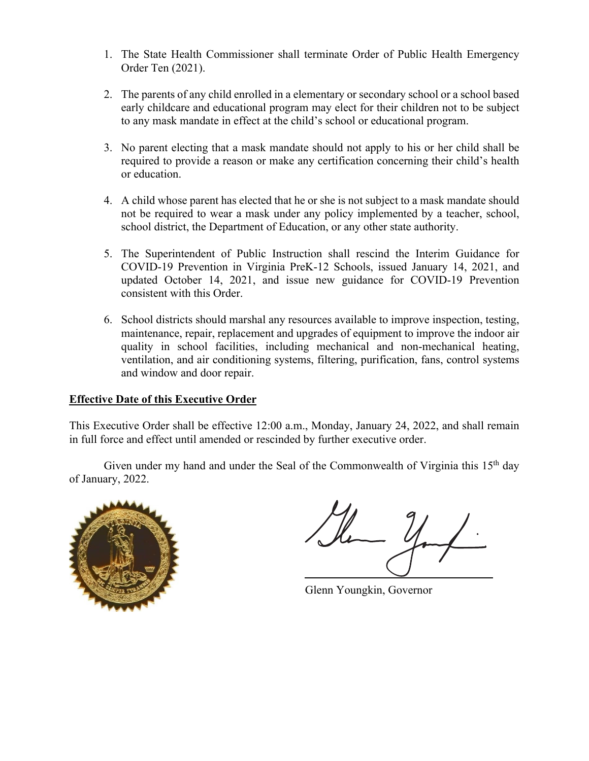- 1. The State Health Commissioner shall terminate Order of Public Health Emergency Order Ten (2021).
- 2. The parents of any child enrolled in a elementary or secondary school or a school based early childcare and educational program may elect for their children not to be subject to any mask mandate in effect at the child's school or educational program.
- 3. No parent electing that a mask mandate should not apply to his or her child shall be required to provide a reason or make any certification concerning their child's health or education.
- 4. A child whose parent has elected that he or she is not subject to a mask mandate should not be required to wear a mask under any policy implemented by a teacher, school, school district, the Department of Education, or any other state authority.
- 5. The Superintendent of Public Instruction shall rescind the Interim Guidance for COVID-19 Prevention in Virginia PreK-12 Schools, issued January 14, 2021, and updated October 14, 2021, and issue new guidance for COVID-19 Prevention consistent with this Order.
- 6. School districts should marshal any resources available to improve inspection, testing, maintenance, repair, replacement and upgrades of equipment to improve the indoor air quality in school facilities, including mechanical and non-mechanical heating, ventilation, and air conditioning systems, filtering, purification, fans, control systems and window and door repair.

# **Effective Date of this Executive Order**

This Executive Order shall be effective 12:00 a.m., Monday, January 24, 2022, and shall remain in full force and effect until amended or rescinded by further executive order.

Given under my hand and under the Seal of the Commonwealth of Virginia this  $15<sup>th</sup>$  day of January, 2022.



Glenn Youngkin, Governor